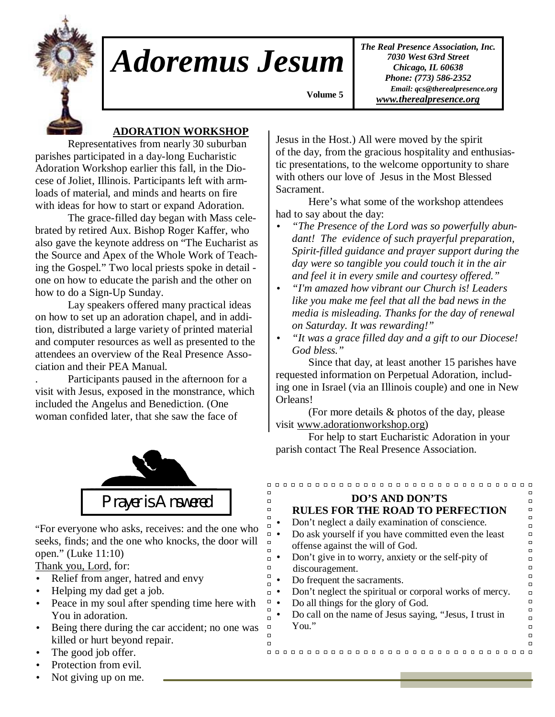

## *Adoremus Jesum*

*The Real Presence Association, Inc. 7030 West 63rd Street Chicago, IL 60638 Phone: (773) 586-2352 Email: qcs@therealpresence.org www.therealpresence.org*

 **Volume 5 ,**

## **ADORATION WORKSHOP**

 Representatives from nearly 30 suburban parishes participated in a day-long Eucharistic Adoration Workshop earlier this fall, in the Diocese of Joliet, Illinois. Participants left with armloads of material, and minds and hearts on fire with ideas for how to start or expand Adoration.

 The grace-filled day began with Mass celebrated by retired Aux. Bishop Roger Kaffer, who also gave the keynote address on "The Eucharist as the Source and Apex of the Whole Work of Teaching the Gospel." Two local priests spoke in detail one on how to educate the parish and the other on how to do a Sign-Up Sunday.

 Lay speakers offered many practical ideas on how to set up an adoration chapel, and in addition, distributed a large variety of printed material and computer resources as well as presented to the attendees an overview of the Real Presence Association and their PEA Manual.

. Participants paused in the afternoon for a visit with Jesus, exposed in the monstrance, which included the Angelus and Benediction. (One woman confided later, that she saw the face of



"For everyone who asks, receives: and the one who seeks, finds; and the one who knocks, the door will open." (Luke 11:10)

Thank you, Lord, for:

- Relief from anger, hatred and envy
- Helping my dad get a job.
- Peace in my soul after spending time here with You in adoration.
- Being there during the car accident; no one was killed or hurt beyond repair.
- The good job offer.
- Protection from evil.
- Not giving up on me.

Jesus in the Host.) All were moved by the spirit of the day, from the gracious hospitality and enthusiastic presentations, to the welcome opportunity to share with others our love of Jesus in the Most Blessed Sacrament.

 Here's what some of the workshop attendees had to say about the day:

- *"The Presence of the Lord was so powerfully abundant! The evidence of such prayerful preparation, Spirit-filled guidance and prayer support during the day were so tangible you could touch it in the air and feel it in every smile and courtesy offered."*
- *"I'm amazed how vibrant our Church is! Leaders like you make me feel that all the bad news in the media is misleading. Thanks for the day of renewal on Saturday. It was rewarding!"*
- *"It was a grace filled day and a gift to our Diocese! God bless."*

 Since that day, at least another 15 parishes have requested information on Perpetual Adoration, including one in Israel (via an Illinois couple) and one in New Orleans!

 (For more details & photos of the day, please visit www.adorationworkshop.org)

 For help to start Eucharistic Adoration in your parish contact The Real Presence Association.

| п<br>п<br><b>DO'S AND DON'TS</b>                                  |
|-------------------------------------------------------------------|
| п                                                                 |
| <b>RULES FOR THE ROAD TO PERFECTION</b><br>□                      |
| п<br>Don't neglect a daily examination of conscience.<br>П        |
| Do ask yourself if you have committed even the least<br>$\Box$    |
| п<br>offense against the will of God.                             |
| п                                                                 |
| Don't give in to worry, anxiety or the self-pity of<br>п          |
| discouragement.<br>$\Box$                                         |
| п<br>Do frequent the sacraments.                                  |
| П                                                                 |
| Don't neglect the spiritual or corporal works of mercy.<br>$\Box$ |
| $\Box$<br>Do all things for the glory of God.                     |
| П<br>Do call on the name of Jesus saying, "Jesus, I trust in      |
| п                                                                 |
| You."<br>п                                                        |
| п                                                                 |
| $\Box$                                                            |
|                                                                   |